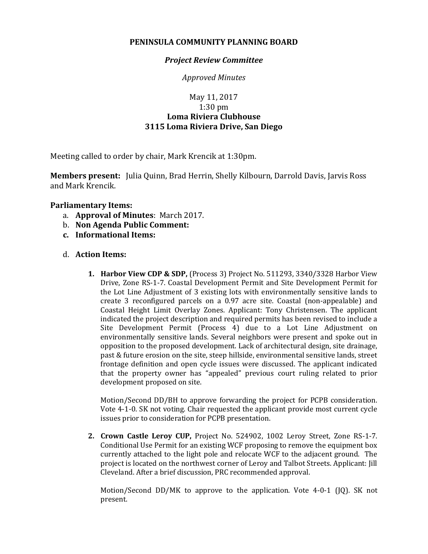## **PENINSULA COMMUNITY PLANNING BOARD**

### *Project Review Committee*

*Approved Minutes*

# May 11, 2017 1:30 pm **Loma Riviera Clubhouse 3115 Loma Riviera Drive, San Diego**

Meeting called to order by chair, Mark Krencik at 1:30pm.

**Members present:** Julia Quinn, Brad Herrin, Shelly Kilbourn, Darrold Davis, Jarvis Ross and Mark Krencik.

## **Parliamentary Items:**

- a. **Approval of Minutes**: March 2017.
- b. **Non Agenda Public Comment:**
- **c. Informational Items:**

### d. **Action Items:**

**1. Harbor View CDP & SDP,** (Process 3) Project No. 511293, 3340/3328 Harbor View Drive, Zone RS-1-7. Coastal Development Permit and Site Development Permit for the Lot Line Adjustment of 3 existing lots with environmentally sensitive lands to create 3 reconfigured parcels on a 0.97 acre site. Coastal (non-appealable) and Coastal Height Limit Overlay Zones. Applicant: Tony Christensen. The applicant indicated the project description and required permits has been revised to include a Site Development Permit (Process 4) due to a Lot Line Adjustment on environmentally sensitive lands. Several neighbors were present and spoke out in opposition to the proposed development. Lack of architectural design, site drainage, past & future erosion on the site, steep hillside, environmental sensitive lands, street frontage definition and open cycle issues were discussed. The applicant indicated that the property owner has "appealed" previous court ruling related to prior development proposed on site.

Motion/Second DD/BH to approve forwarding the project for PCPB consideration. Vote 4-1-0. SK not voting. Chair requested the applicant provide most current cycle issues prior to consideration for PCPB presentation.

**2. Crown Castle Leroy CUP,** Project No. 524902, 1002 Leroy Street, Zone RS-1-7. Conditional Use Permit for an existing WCF proposing to remove the equipment box currently attached to the light pole and relocate WCF to the adjacent ground. The project is located on the northwest corner of Leroy and Talbot Streets. Applicant: Jill Cleveland. After a brief discussion, PRC recommended approval.

Motion/Second DD/MK to approve to the application. Vote 4-0-1 (JQ). SK not present.